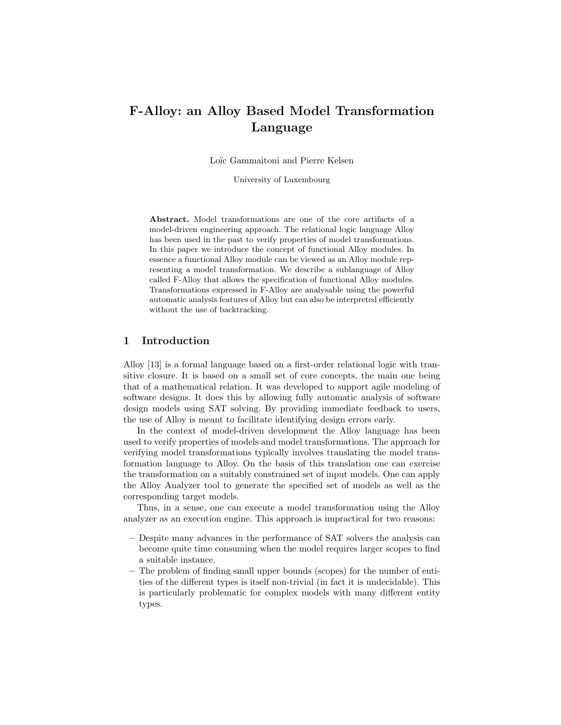# F-Alloy: an Alloy Based Model Transformation Language

Loïc Gammaitoni and Pierre Kelsen

University of Luxembourg

Abstract. Model transformations are one of the core artifacts of a model-driven engineering approach. The relational logic language Alloy has been used in the past to verify properties of model transformations. In this paper we introduce the concept of functional Alloy modules. In essence a functional Alloy module can be viewed as an Alloy module representing a model transformation. We describe a sublanguage of Alloy called F-Alloy that allows the specification of functional Alloy modules. Transformations expressed in F-Alloy are analysable using the powerful automatic analysis features of Alloy but can also be interpreted efficiently without the use of backtracking.

## 1 Introduction

Alloy [13] is a formal language based on a first-order relational logic with transitive closure. It is based on a small set of core concepts, the main one being that of a mathematical relation. It was developed to support agile modeling of software designs. It does this by allowing fully automatic analysis of software design models using SAT solving. By providing immediate feedback to users, the use of Alloy is meant to facilitate identifying design errors early.

In the context of model-driven development the Alloy language has been used to verify properties of models and model transformations. The approach for verifying model transformations typically involves translating the model transformation language to Alloy. On the basis of this translation one can exercise the transformation on a suitably constrained set of input models. One can apply the Alloy Analyzer tool to generate the specified set of models as well as the corresponding target models.

Thus, in a sense, one can execute a model transformation using the Alloy analyzer as an execution engine. This approach is impractical for two reasons:

- Despite many advances in the performance of SAT solvers the analysis can become quite time consuming when the model requires larger scopes to find a suitable instance.
- The problem of finding small upper bounds (scopes) for the number of entities of the different types is itself non-trivial (in fact it is undecidable). This is particularly problematic for complex models with many different entity types.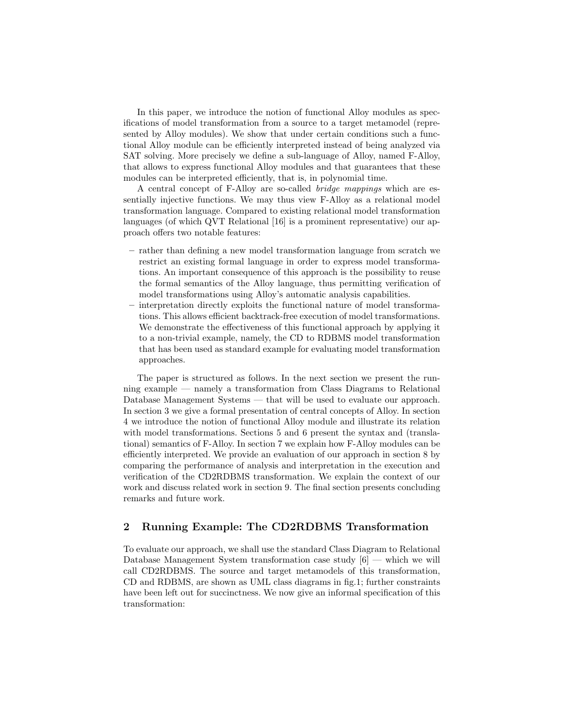In this paper, we introduce the notion of functional Alloy modules as specifications of model transformation from a source to a target metamodel (represented by Alloy modules). We show that under certain conditions such a functional Alloy module can be efficiently interpreted instead of being analyzed via SAT solving. More precisely we define a sub-language of Alloy, named F-Alloy, that allows to express functional Alloy modules and that guarantees that these modules can be interpreted efficiently, that is, in polynomial time.

A central concept of F-Alloy are so-called bridge mappings which are essentially injective functions. We may thus view F-Alloy as a relational model transformation language. Compared to existing relational model transformation languages (of which QVT Relational [16] is a prominent representative) our approach offers two notable features:

- rather than defining a new model transformation language from scratch we restrict an existing formal language in order to express model transformations. An important consequence of this approach is the possibility to reuse the formal semantics of the Alloy language, thus permitting verification of model transformations using Alloy's automatic analysis capabilities.
- interpretation directly exploits the functional nature of model transformations. This allows efficient backtrack-free execution of model transformations. We demonstrate the effectiveness of this functional approach by applying it to a non-trivial example, namely, the CD to RDBMS model transformation that has been used as standard example for evaluating model transformation approaches.

The paper is structured as follows. In the next section we present the running example — namely a transformation from Class Diagrams to Relational Database Management Systems — that will be used to evaluate our approach. In section 3 we give a formal presentation of central concepts of Alloy. In section 4 we introduce the notion of functional Alloy module and illustrate its relation with model transformations. Sections 5 and 6 present the syntax and (translational) semantics of F-Alloy. In section 7 we explain how F-Alloy modules can be efficiently interpreted. We provide an evaluation of our approach in section 8 by comparing the performance of analysis and interpretation in the execution and verification of the CD2RDBMS transformation. We explain the context of our work and discuss related work in section 9. The final section presents concluding remarks and future work.

# 2 Running Example: The CD2RDBMS Transformation

To evaluate our approach, we shall use the standard Class Diagram to Relational Database Management System transformation case study [6] — which we will call CD2RDBMS. The source and target metamodels of this transformation, CD and RDBMS, are shown as UML class diagrams in fig.1; further constraints have been left out for succinctness. We now give an informal specification of this transformation: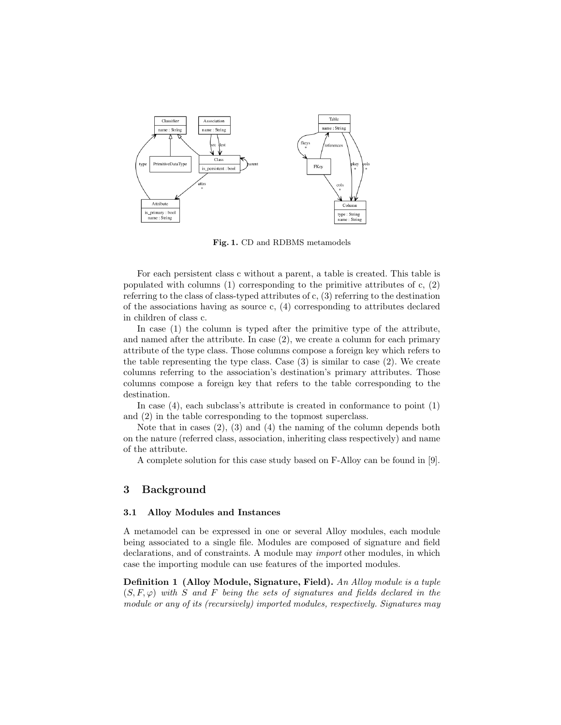

Fig. 1. CD and RDBMS metamodels

For each persistent class c without a parent, a table is created. This table is populated with columns  $(1)$  corresponding to the primitive attributes of c,  $(2)$ referring to the class of class-typed attributes of c, (3) referring to the destination of the associations having as source c, (4) corresponding to attributes declared in children of class c.

In case (1) the column is typed after the primitive type of the attribute, and named after the attribute. In case (2), we create a column for each primary attribute of the type class. Those columns compose a foreign key which refers to the table representing the type class. Case (3) is similar to case (2). We create columns referring to the association's destination's primary attributes. Those columns compose a foreign key that refers to the table corresponding to the destination.

In case (4), each subclass's attribute is created in conformance to point (1) and (2) in the table corresponding to the topmost superclass.

Note that in cases  $(2)$ ,  $(3)$  and  $(4)$  the naming of the column depends both on the nature (referred class, association, inheriting class respectively) and name of the attribute.

A complete solution for this case study based on F-Alloy can be found in [9].

## 3 Background

## 3.1 Alloy Modules and Instances

A metamodel can be expressed in one or several Alloy modules, each module being associated to a single file. Modules are composed of signature and field declarations, and of constraints. A module may import other modules, in which case the importing module can use features of the imported modules.

Definition 1 (Alloy Module, Signature, Field). An Alloy module is a tuple  $(S, F, \varphi)$  with S and F being the sets of signatures and fields declared in the module or any of its (recursively) imported modules, respectively. Signatures may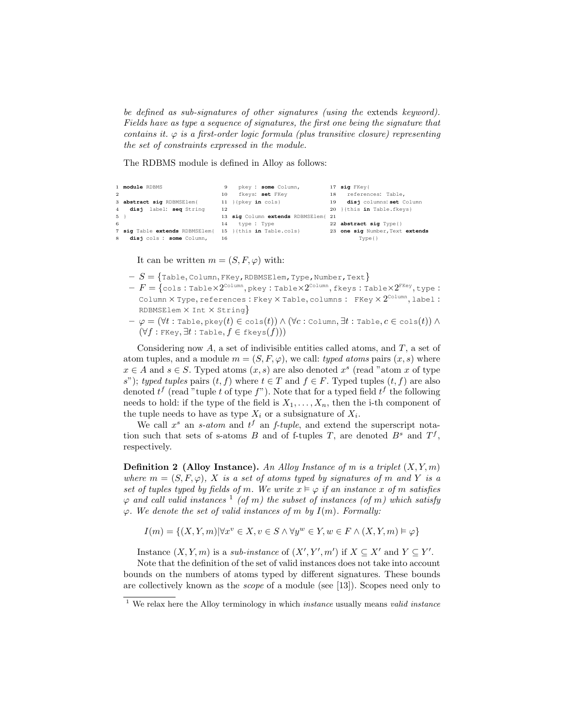be defined as sub-signatures of other signatures (using the extends keyword). Fields have as type a sequence of signatures, the first one being the signature that contains it.  $\varphi$  is a first-order logic formula (plus transitive closure) representing the set of constraints expressed in the module.

The RDBMS module is defined in Alloy as follows:

```
1 module RDBMS
\overline{2}3 abstract sig RDBMSElem{
4 disj label: seq String
5 }
6
7 sig Table extends RDBMSElem{
15 }{this in Table.cols}
8 disj cols : some Column,
                                  9 pkey : some Column,
                                 10 fkeys: set FKey
                                 11 }{pkey in cols}
                                 12
                                  13 sig Column extends RDBMSElem{
21
                                 14 type : Type
                                 16
                                                                    17 sig FKey{
                                                                     18 references: Table,
19 disj columns: set Column
                                                                   20 }{this in Table.fkeys}
                                                                   22 abstract sig Type{}
                                                                   23 one sig Number,Text extends
                                                                             Type{}
```
It can be written  $m = (S, F, \varphi)$  with:

- $-S = \{$ Table, Column, FKey, RDBMSElem, Type, Number, Text $\}$
- $\overline{F} = \{\texttt{cols}: \texttt{TableX2}^\texttt{Column}, \texttt{pkey}: \texttt{TableX2}^\texttt{Column}, \texttt{fkeys}: \texttt{TableX2}^\texttt{FKey}, \texttt{type}: \}$ Column  $\times$  Type, references : Fkey  $\times$  Table, columns : FKey  $\times$   $2^{\text{Column}},$  label : RDBMSElem  $\times$  Int  $\times$  String}
- $\phi = (\forall t : \texttt{Table}, \texttt{pkey}(t) \in \texttt{cols}(t)) \land (\forall c : \texttt{Column}, \exists t : \texttt{Table}, c \in \texttt{cols}(t)) \land$  $(\forall f : \text{FKey}, \exists t : \text{Table}, f \in \text{fkeys}(f)))$

Considering now  $A$ , a set of indivisible entities called atoms, and  $T$ , a set of atom tuples, and a module  $m = (S, F, \varphi)$ , we call: *typed atoms* pairs  $(x, s)$  where  $x \in A$  and  $s \in S$ . Typed atoms  $(x, s)$  are also denoted  $x<sup>s</sup>$  (read "atom x of type s"); typed tuples pairs  $(t, f)$  where  $t \in T$  and  $f \in F$ . Typed tuples  $(t, f)$  are also denoted  $t^f$  (read "tuple t of type  $f$ "). Note that for a typed field  $t^f$  the following needs to hold: if the type of the field is  $X_1, \ldots, X_n$ , then the i-th component of the tuple needs to have as type  $X_i$  or a subsignature of  $X_i$ .

We call  $x^s$  an s-atom and  $t^f$  an f-tuple, and extend the superscript notation such that sets of s-atoms B and of f-tuples T, are denoted  $B^s$  and  $T^f$ , respectively.

**Definition 2** (Alloy Instance). An Alloy Instance of m is a triplet  $(X, Y, m)$ where  $m = (S, F, \varphi)$ , X is a set of atoms typed by signatures of m and Y is a set of tuples typed by fields of m. We write  $x \models \varphi$  if an instance x of m satisfies  $\varphi$  and call valid instances  $\frac{1}{1}$  (of m) the subset of instances (of m) which satisfy  $\varphi$ . We denote the set of valid instances of m by  $I(m)$ . Formally:

$$
I(m) = \{(X, Y, m) | \forall x^v \in X, v \in S \land \forall y^w \in Y, w \in F \land (X, Y, m) \models \varphi\}
$$

Instance  $(X, Y, m)$  is a sub-instance of  $(X', Y', m')$  if  $X \subseteq X'$  and  $Y \subseteq Y'$ .

Note that the definition of the set of valid instances does not take into account bounds on the numbers of atoms typed by different signatures. These bounds are collectively known as the scope of a module (see [13]). Scopes need only to

 $1$  We relax here the Alloy terminology in which *instance* usually means *valid instance*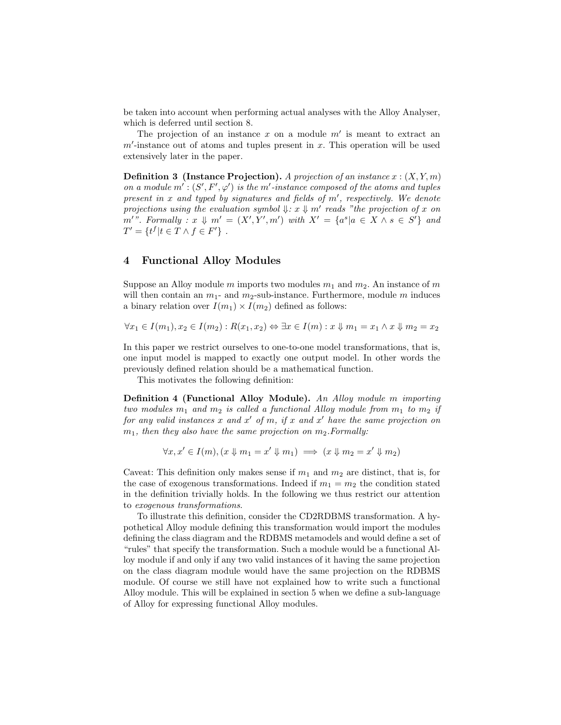be taken into account when performing actual analyses with the Alloy Analyser, which is deferred until section 8.

The projection of an instance  $x$  on a module  $m'$  is meant to extract an  $m'$ -instance out of atoms and tuples present in x. This operation will be used extensively later in the paper.

**Definition 3** (Instance Projection). A projection of an instance  $x : (X, Y, m)$ on a module  $m' : (S', F', \varphi')$  is the m'-instance composed of the atoms and tuples present in  $x$  and typed by signatures and fields of  $m'$ , respectively. We denote projections using the evaluation symbol  $\downarrow : x \downarrow m'$  reads "the projection of x on  $m'$ ". Formally :  $x \Downarrow m' = (X', Y', m')$  with  $X' = \{a^s | a \in X \land s \in S'\}$  and  $T' = \{ t^f | t \in T \wedge f \in F' \}$ .

# 4 Functional Alloy Modules

Suppose an Alloy module m imports two modules  $m_1$  and  $m_2$ . An instance of m will then contain an  $m_1$ - and  $m_2$ -sub-instance. Furthermore, module m induces a binary relation over  $I(m_1) \times I(m_2)$  defined as follows:

$$
\forall x_1 \in I(m_1), x_2 \in I(m_2) : R(x_1, x_2) \Leftrightarrow \exists x \in I(m) : x \Downarrow m_1 = x_1 \land x \Downarrow m_2 = x_2
$$

In this paper we restrict ourselves to one-to-one model transformations, that is, one input model is mapped to exactly one output model. In other words the previously defined relation should be a mathematical function.

This motivates the following definition:

Definition 4 (Functional Alloy Module). An Alloy module m importing two modules  $m_1$  and  $m_2$  is called a functional Alloy module from  $m_1$  to  $m_2$  if for any valid instances x and x' of m, if x and x' have the same projection on  $m_1$ , then they also have the same projection on  $m_2$ . Formally:

$$
\forall x, x' \in I(m), (x \Downarrow m_1 = x' \Downarrow m_1) \implies (x \Downarrow m_2 = x' \Downarrow m_2)
$$

Caveat: This definition only makes sense if  $m_1$  and  $m_2$  are distinct, that is, for the case of exogenous transformations. Indeed if  $m_1 = m_2$  the condition stated in the definition trivially holds. In the following we thus restrict our attention to exogenous transformations.

To illustrate this definition, consider the CD2RDBMS transformation. A hypothetical Alloy module defining this transformation would import the modules defining the class diagram and the RDBMS metamodels and would define a set of "rules" that specify the transformation. Such a module would be a functional Alloy module if and only if any two valid instances of it having the same projection on the class diagram module would have the same projection on the RDBMS module. Of course we still have not explained how to write such a functional Alloy module. This will be explained in section 5 when we define a sub-language of Alloy for expressing functional Alloy modules.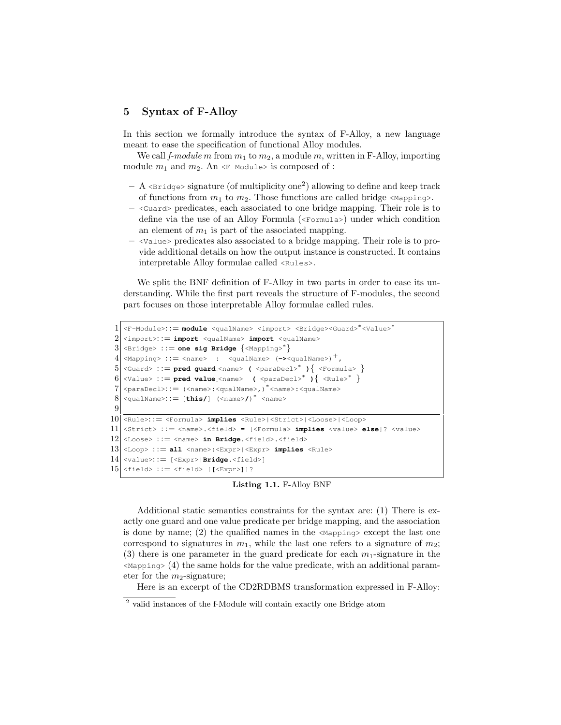# 5 Syntax of F-Alloy

In this section we formally introduce the syntax of F-Alloy, a new language meant to ease the specification of functional Alloy modules.

We call f-module m from  $m_1$  to  $m_2$ , a module m, written in F-Alloy, importing module  $m_1$  and  $m_2$ . An  $\leq$ -Module> is composed of :

- $-$  A <Bridge> signature (of multiplicity one<sup>2</sup>) allowing to define and keep track of functions from  $m_1$  to  $m_2$ . Those functions are called bridge <Mapping>.
- $-$  <Guard> predicates, each associated to one bridge mapping. Their role is to define via the use of an Alloy Formula (<Formula>) under which condition an element of  $m_1$  is part of the associated mapping.
- <Value> predicates also associated to a bridge mapping. Their role is to provide additional details on how the output instance is constructed. It contains interpretable Alloy formulae called  $\langle Rules \rangle$ .

We split the BNF definition of F-Alloy in two parts in order to ease its understanding. While the first part reveals the structure of F-modules, the second part focuses on those interpretable Alloy formulae called rules.

```
1 <F-Module>::= module <qualName> <import> <Bridge><Guard>*<Value>*
 2 \times \text{import} \leq \text{import} \leq \text{quadName} \geq \text{import} \leq \text{quadName}3 <Bridge> : := one sig Bridge {<Mapping>∗
}
 4 <Mapping> ::= <name> : <qualName> (-\rightarrow <qualName>)<sup>+</sup>,
 5 <Guard> : := pred guard <name> ( <paraDecl>∗
){ <Formula> }
 6 \big| <Value> ::= pred value_<name> \big| <paraDecl>* \big| <Rule>* \big\}7 <paraDecl>: := (<name>:<qualName>,)
∗
<name>:<qualName>
 8 \nvert <qualName>::= [this/] (<name>/)<sup>*</sup> <name>
 9
10 <Rule>: := <Formula> implies <Rule>|<Strict>|<Loose>|<Loop>
11 <Strict> : := <name>.<field> = [<Formula> implies <value> else]? <value>
12 <Loose> ::= <name> in Bridge.<field>.<field>
13 <Loop> ::= all <name>:<Expr> <Expr> implies <Rule>
14 <value>::= [\langle \text{Expr}\rangle | \text{Bridge} \cdot \langle \text{field}\rangle]15 \langle field> ::= \langle field> [ \langle Expr>]]?
```
Listing 1.1. F-Alloy BNF

Additional static semantics constraints for the syntax are: (1) There is exactly one guard and one value predicate per bridge mapping, and the association is done by name; (2) the qualified names in the  $\langle\text{Mapping}\rangle$  except the last one correspond to signatures in  $m_1$ , while the last one refers to a signature of  $m_2$ ; (3) there is one parameter in the guard predicate for each  $m_1$ -signature in the  $\langle\text{Mapping}\rangle$  (4) the same holds for the value predicate, with an additional parameter for the  $m_2$ -signature;

Here is an excerpt of the CD2RDBMS transformation expressed in F-Alloy:

<sup>&</sup>lt;sup>2</sup> valid instances of the f-Module will contain exactly one Bridge atom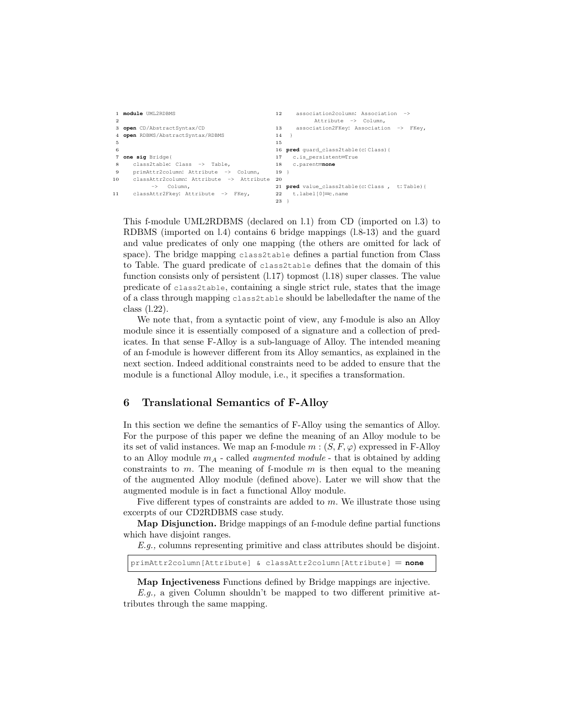```
1 module UML2RDBMS
 \overline{2}3 open CD/AbstractSyntax/CD
 4 open RDBMS/AbstractSyntax/RDBMS
 5
 6
 7 one sig Bridge{
 8 class2table: Class -> Table,
 9 primAttr2column: Attribute -> Column,
10 classAttr2column: Attribute -> Attribute
            -> Column,
11 classAttr2Fkey: Attribute -> FKey,
                                                   12 association2column: Association ->
                                                              Attribute -> Column,
                                                   13 association2FKey: Association -> FKey,
                                                   14 \quad \}15
                                                   16 pred guard_class2table(c: Class){
                                                   17 c.is_persistent=True<br>18 c.parent=none
                                                       18 c.parent=none
                                                   19 }
                                                  20
                                                   21 pred value_class2table(c: Class , t: Table){
                                                  22 t.label[0]=c.name
                                                  23 }
```
This f-module UML2RDBMS (declared on l.1) from CD (imported on l.3) to RDBMS (imported on l.4) contains 6 bridge mappings (l.8-13) and the guard and value predicates of only one mapping (the others are omitted for lack of space). The bridge mapping class2table defines a partial function from Class to Table. The guard predicate of class2table defines that the domain of this function consists only of persistent  $(1.17)$  topmost  $(1.18)$  super classes. The value predicate of class2table, containing a single strict rule, states that the image of a class through mapping class2table should be labelledafter the name of the class (l.22).

We note that, from a syntactic point of view, any f-module is also an Alloy module since it is essentially composed of a signature and a collection of predicates. In that sense F-Alloy is a sub-language of Alloy. The intended meaning of an f-module is however different from its Alloy semantics, as explained in the next section. Indeed additional constraints need to be added to ensure that the module is a functional Alloy module, i.e., it specifies a transformation.

# 6 Translational Semantics of F-Alloy

In this section we define the semantics of F-Alloy using the semantics of Alloy. For the purpose of this paper we define the meaning of an Alloy module to be its set of valid instances. We map an f-module  $m : (S, F, \varphi)$  expressed in F-Alloy to an Alloy module  $m_A$  - called *augmented module* - that is obtained by adding constraints to  $m$ . The meaning of f-module  $m$  is then equal to the meaning of the augmented Alloy module (defined above). Later we will show that the augmented module is in fact a functional Alloy module.

Five different types of constraints are added to m. We illustrate those using excerpts of our CD2RDBMS case study.

Map Disjunction. Bridge mappings of an f-module define partial functions which have disjoint ranges.

E.g., columns representing primitive and class attributes should be disjoint.

```
primAttr2column[Attribute] & classAttr2column[Attribute] = none
```
Map Injectiveness Functions defined by Bridge mappings are injective.

 $E.g.,$  a given Column shouldn't be mapped to two different primitive attributes through the same mapping.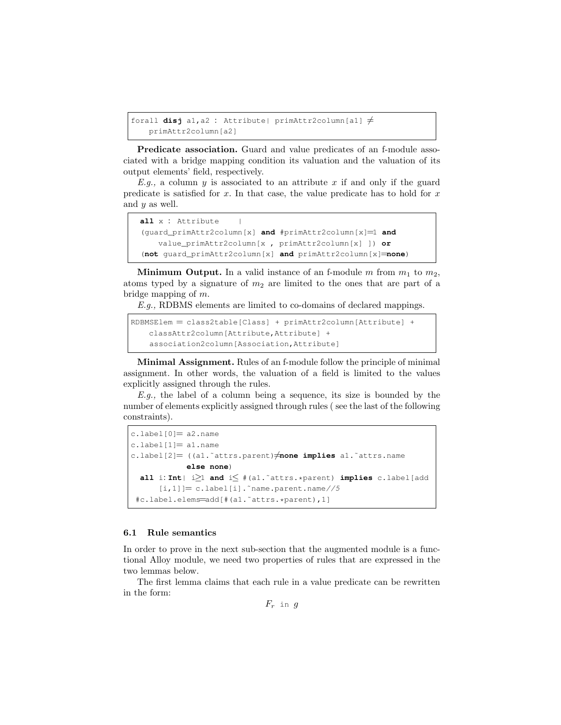```
forall disj a1, a2 : Attribute| primAttr2column[a1] \neqprimAttr2column[a2]
```
Predicate association. Guard and value predicates of an f-module associated with a bridge mapping condition its valuation and the valuation of its output elements' field, respectively.

E.g., a column y is associated to an attribute x if and only if the guard predicate is satisfied for  $x$ . In that case, the value predicate has to hold for  $x$ and  $y$  as well.

```
all x : Attribute |
(guard_primAttr2column[x] and #primAttr2column[x]=1 and
   value_primAttr2column[x , primAttr2column[x] ]) or
(not guard_primAttr2column[x] and primAttr2column[x]=none)
```
**Minimum Output.** In a valid instance of an f-module m from  $m_1$  to  $m_2$ , atoms typed by a signature of  $m_2$  are limited to the ones that are part of a bridge mapping of m.

E.g., RDBMS elements are limited to co-domains of declared mappings.

```
RDBMSElem = class2table[Class] + primAttr2column[Attribute] +
   classAttr2column[Attribute,Attribute] +
    association2column[Association,Attribute]
```
Minimal Assignment. Rules of an f-module follow the principle of minimal assignment. In other words, the valuation of a field is limited to the values explicitly assigned through the rules.

E.g., the label of a column being a sequence, its size is bounded by the number of elements explicitly assigned through rules ( see the last of the following constraints).

```
c.\text{label}[0]=a2.\text{name}c.\label{label1} label[1]= al.name
c.label[2]= ((a1.<sup>~</sup>attrs.parent)\neqnone implies a1.<sup>~</sup>attrs.name
              else none)
  all i: Int| i≥1 and i≤ #(a1.˜attrs.*parent) implies c.label[add
       [i,1]]= c.label[i]. ~name.parent.name//5
 #c.label.elems=add[#(a1.˜attrs.*parent),1]
```
# 6.1 Rule semantics

In order to prove in the next sub-section that the augmented module is a functional Alloy module, we need two properties of rules that are expressed in the two lemmas below.

The first lemma claims that each rule in a value predicate can be rewritten in the form:

 $F_r$  in  $g$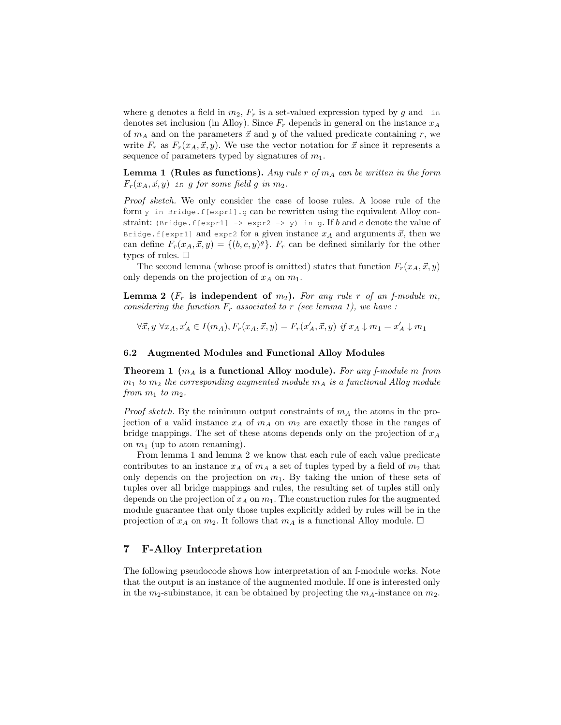where g denotes a field in  $m_2$ ,  $F_r$  is a set-valued expression typed by g and in denotes set inclusion (in Alloy). Since  $F_r$  depends in general on the instance  $x_A$ of  $m_A$  and on the parameters  $\vec{x}$  and y of the valued predicate containing r, we write  $F_r$  as  $F_r(x_A, \vec{x}, y)$ . We use the vector notation for  $\vec{x}$  since it represents a sequence of parameters typed by signatures of  $m_1$ .

**Lemma 1 (Rules as functions).** Any rule r of  $m_A$  can be written in the form  $F_r(x_A, \vec{x}, y)$  in g for some field g in  $m_2$ .

Proof sketch. We only consider the case of loose rules. A loose rule of the form  $y$  in Bridge.f[expr1].g can be rewritten using the equivalent Alloy constraint: (Bridge.f[expr1] -> expr2 -> y) in g. If b and e denote the value of Bridge.f[expr1] and expr2 for a given instance  $x_A$  and arguments  $\vec{x}$ , then we can define  $F_r(x_A, \vec{x}, y) = \{(b, e, y)^g\}$ .  $F_r$  can be defined similarly for the other types of rules.  $\square$ 

The second lemma (whose proof is omitted) states that function  $F_r(x_A, \vec{x}, y)$ only depends on the projection of  $x_A$  on  $m_1$ .

**Lemma 2** ( $F_r$  is independent of  $m_2$ ). For any rule r of an f-module m, considering the function  $F_r$  associated to r (see lemma 1), we have :

 $\forall \vec{x}, y \ \forall x_A, x'_A \in I(m_A), F_r(x_A, \vec{x}, y) = F_r(x'_A, \vec{x}, y) \ \text{if } x_A \downarrow m_1 = x'_A \downarrow m_1$ 

#### 6.2 Augmented Modules and Functional Alloy Modules

**Theorem 1** ( $m_A$  is a functional Alloy module). For any f-module m from  $m_1$  to  $m_2$  the corresponding augmented module  $m_A$  is a functional Alloy module from  $m_1$  to  $m_2$ .

*Proof sketch.* By the minimum output constraints of  $m_A$  the atoms in the projection of a valid instance  $x_A$  of  $m_A$  on  $m_2$  are exactly those in the ranges of bridge mappings. The set of these atoms depends only on the projection of  $x_A$ on  $m_1$  (up to atom renaming).

From lemma 1 and lemma 2 we know that each rule of each value predicate contributes to an instance  $x_A$  of  $m_A$  a set of tuples typed by a field of  $m_2$  that only depends on the projection on  $m_1$ . By taking the union of these sets of tuples over all bridge mappings and rules, the resulting set of tuples still only depends on the projection of  $x_A$  on  $m_1$ . The construction rules for the augmented module guarantee that only those tuples explicitly added by rules will be in the projection of  $x_A$  on  $m_2$ . It follows that  $m_A$  is a functional Alloy module.  $\Box$ 

# 7 F-Alloy Interpretation

The following pseudocode shows how interpretation of an f-module works. Note that the output is an instance of the augmented module. If one is interested only in the  $m_2$ -subinstance, it can be obtained by projecting the  $m_A$ -instance on  $m_2$ .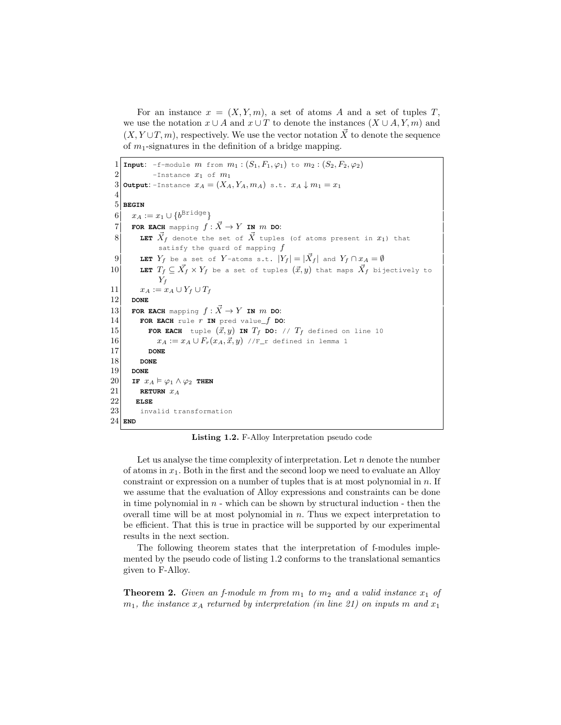For an instance  $x = (X, Y, m)$ , a set of atoms A and a set of tuples T, we use the notation  $x \cup A$  and  $x \cup T$  to denote the instances  $(X \cup A, Y, m)$  and  $(X, Y \cup T, m)$ , respectively. We use the vector notation  $\vec{X}$  to denote the sequence of  $m_1$ -signatures in the definition of a bridge mapping.

```
1 Input: -f-module m from m_1 : (S_1, F_1, \varphi_1) to m_2 : (S_2, F_2, \varphi_2)2 -Instance x_1 of m_13 Output: -Instance x_A = (X_A, Y_A, m_A) s.t. x_A \downarrow m_1 = x_14
 5 BEGIN
 6 \vert x_A := x_1 \cup \{b^{{\mathtt{Bridge}}}\}7 FOR EACH mapping f: \vec{X} \rightarrow Y IN m DO:
 8 LET \vec{X}_f denote the set of \vec{X} tuples (of atoms present in x_1) that
             satisfy the guard of mapping f9 LET Y_f be a set of Y-atoms s.t. |Y_f| = |\vec{X}_f| and Y_f \cap x_A = \emptyset10 LET T_f \subseteq \vec{X}_f \times Y_f be a set of tuples (\vec{x}, y) that maps \vec{X}_f bijectively to
             Y_f11 x_A := x_A \cup Y_f \cup T_f12 DONE
13 FOR EACH mapping f : \vec{X} \to Y IN m DO:
14 FOR EACH rule r IN pred value_f DO:
15 FOR EACH tuple (\vec{x}, y) IN T_f DO: // T_f defined on line 10
16 x_A := x_A \cup F_r(x_A, \vec{x}, y) //F_r defined in lemma 1
17 DONE
18 DONE
19 DONE
20 IF x_A \vDash \varphi_1 \land \varphi_2 THEN
21 RETURN x_A22 ELSE
23 invalid transformation
24 END
```
Listing 1.2. F-Alloy Interpretation pseudo code

Let us analyse the time complexity of interpretation. Let  $n$  denote the number of atoms in  $x_1$ . Both in the first and the second loop we need to evaluate an Alloy constraint or expression on a number of tuples that is at most polynomial in  $n$ . If we assume that the evaluation of Alloy expressions and constraints can be done in time polynomial in  $n$  - which can be shown by structural induction - then the overall time will be at most polynomial in n. Thus we expect interpretation to be efficient. That this is true in practice will be supported by our experimental results in the next section.

The following theorem states that the interpretation of f-modules implemented by the pseudo code of listing 1.2 conforms to the translational semantics given to F-Alloy.

**Theorem 2.** Given an f-module m from  $m_1$  to  $m_2$  and a valid instance  $x_1$  of  $m_1$ , the instance  $x_A$  returned by interpretation (in line 21) on inputs m and  $x_1$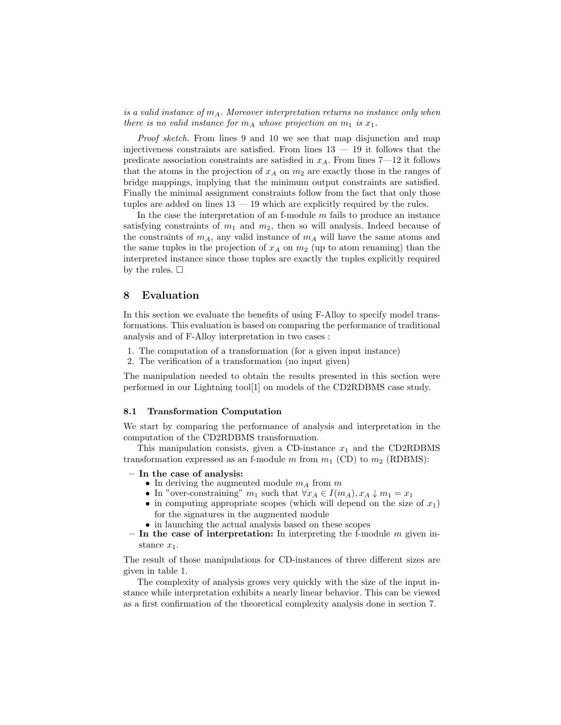is a valid instance of  $m_A$ . Moreover interpretation returns no instance only when there is no valid instance for  $m_A$  whose projection on  $m_1$  is  $x_1$ .

Proof sketch. From lines 9 and 10 we see that map disjunction and map injectiveness constraints are satisfied. From lines  $13 - 19$  it follows that the predicate association constraints are satisfied in  $x_A$ . From lines 7—12 it follows that the atoms in the projection of  $x_A$  on  $m_2$  are exactly those in the ranges of bridge mappings, implying that the minimum output constraints are satisfied. Finally the minimal assignment constraints follow from the fact that only those tuples are added on lines 13 — 19 which are explicitly required by the rules.

In the case the interpretation of an f-module  $m$  fails to produce an instance satisfying constraints of  $m_1$  and  $m_2$ , then so will analysis. Indeed because of the constraints of  $m_A$ , any valid instance of  $m_A$  will have the same atoms and the same tuples in the projection of  $x_A$  on  $m_2$  (up to atom renaming) than the interpreted instance since those tuples are exactly the tuples explicitly required by the rules.  $\square$ 

## 8 Evaluation

In this section we evaluate the benefits of using F-Alloy to specify model transformations. This evaluation is based on comparing the performance of traditional analysis and of F-Alloy interpretation in two cases :

- 1. The computation of a transformation (for a given input instance)
- 2. The verification of a transformation (no input given)

The manipulation needed to obtain the results presented in this section were performed in our Lightning tool[1] on models of the CD2RDBMS case study.

#### 8.1 Transformation Computation

We start by comparing the performance of analysis and interpretation in the computation of the CD2RDBMS transformation.

This manipulation consists, given a CD-instance  $x_1$  and the CD2RDBMS transformation expressed as an f-module m from  $m_1$  (CD) to  $m_2$  (RDBMS):

- In the case of analysis:
	- In deriving the augmented module  $m_A$  from  $m$
	- In "over-constraining"  $m_1$  such that  $\forall x_A \in I(m_A), x_A \downarrow m_1 = x_1$
	- in computing appropriate scopes (which will depend on the size of  $x_1$ ) for the signatures in the augmented module
	- in launching the actual analysis based on these scopes
- In the case of interpretation: In interpreting the f-module  $m$  given instance  $x_1$ .

The result of those manipulations for CD-instances of three different sizes are given in table 1.

The complexity of analysis grows very quickly with the size of the input instance while interpretation exhibits a nearly linear behavior. This can be viewed as a first confirmation of the theoretical complexity analysis done in section 7.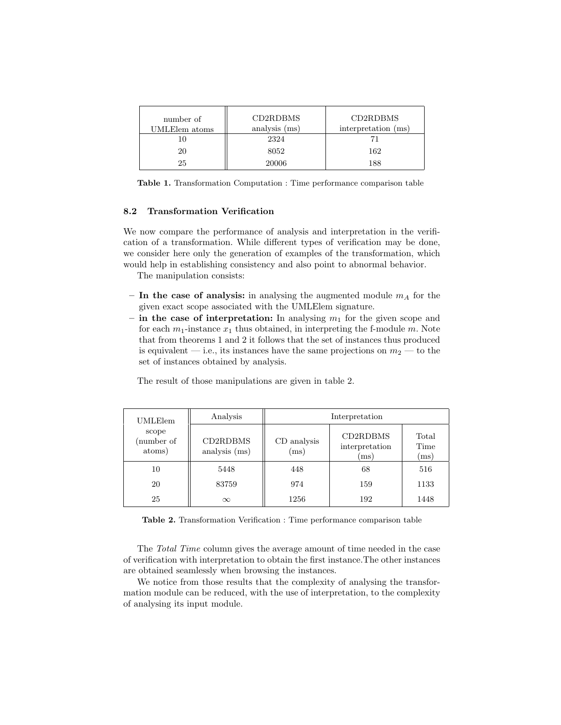| number of<br>UMLElem atoms | CD2RDBMS<br>analysis (ms) | CD2RDBMS<br>interpretation (ms) |
|----------------------------|---------------------------|---------------------------------|
|                            | 2324                      |                                 |
| 20                         | 8052                      | 162                             |
| 25                         | 20006                     | 188                             |

Table 1. Transformation Computation : Time performance comparison table

# 8.2 Transformation Verification

We now compare the performance of analysis and interpretation in the verification of a transformation. While different types of verification may be done, we consider here only the generation of examples of the transformation, which would help in establishing consistency and also point to abnormal behavior.

The manipulation consists:

- In the case of analysis: in analysing the augmented module  $m_A$  for the given exact scope associated with the UMLElem signature.
- in the case of interpretation: In analysing  $m_1$  for the given scope and for each  $m_1$ -instance  $x_1$  thus obtained, in interpreting the f-module m. Note that from theorems 1 and 2 it follows that the set of instances thus produced is equivalent — i.e., its instances have the same projections on  $m_2$  — to the set of instances obtained by analysis.

| UMLElem                       | Analysis                  | Interpretation      |                                    |                       |
|-------------------------------|---------------------------|---------------------|------------------------------------|-----------------------|
| scope<br>(number of<br>atoms) | CD2RDBMS<br>analysis (ms) | CD analysis<br>(ms) | CD2RDBMS<br>interpretation<br>(ms) | Total<br>Time<br>(ms) |
| 10                            | 5448                      | 448                 | 68                                 | 516                   |
| 20                            | 83759                     | 974                 | 159                                | 1133                  |
| 25                            | $\infty$                  | 1256                | 192                                | 1448                  |

The result of those manipulations are given in table 2.

Table 2. Transformation Verification : Time performance comparison table

The Total Time column gives the average amount of time needed in the case of verification with interpretation to obtain the first instance.The other instances are obtained seamlessly when browsing the instances.

We notice from those results that the complexity of analysing the transformation module can be reduced, with the use of interpretation, to the complexity of analysing its input module.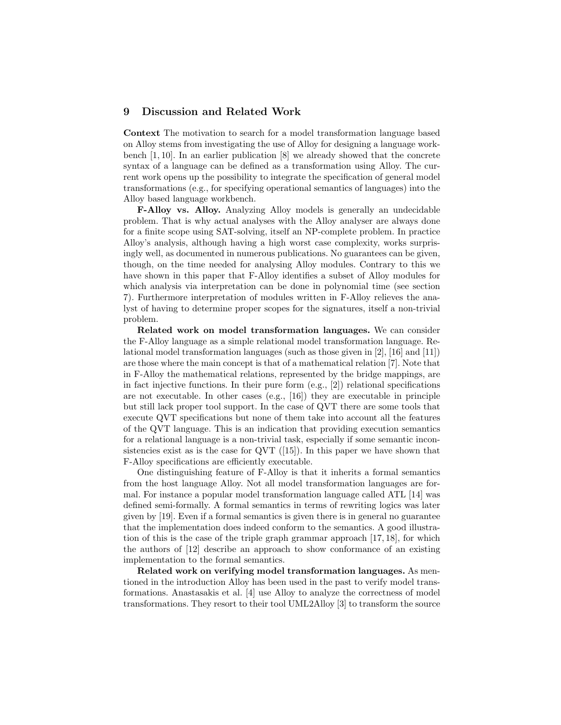## 9 Discussion and Related Work

Context The motivation to search for a model transformation language based on Alloy stems from investigating the use of Alloy for designing a language workbench [1, 10]. In an earlier publication [8] we already showed that the concrete syntax of a language can be defined as a transformation using Alloy. The current work opens up the possibility to integrate the specification of general model transformations (e.g., for specifying operational semantics of languages) into the Alloy based language workbench.

F-Alloy vs. Alloy. Analyzing Alloy models is generally an undecidable problem. That is why actual analyses with the Alloy analyser are always done for a finite scope using SAT-solving, itself an NP-complete problem. In practice Alloy's analysis, although having a high worst case complexity, works surprisingly well, as documented in numerous publications. No guarantees can be given, though, on the time needed for analysing Alloy modules. Contrary to this we have shown in this paper that F-Alloy identifies a subset of Alloy modules for which analysis via interpretation can be done in polynomial time (see section 7). Furthermore interpretation of modules written in F-Alloy relieves the analyst of having to determine proper scopes for the signatures, itself a non-trivial problem.

Related work on model transformation languages. We can consider the F-Alloy language as a simple relational model transformation language. Relational model transformation languages (such as those given in [2], [16] and [11]) are those where the main concept is that of a mathematical relation [7]. Note that in F-Alloy the mathematical relations, represented by the bridge mappings, are in fact injective functions. In their pure form (e.g., [2]) relational specifications are not executable. In other cases  $(e.g., [16])$  they are executable in principle but still lack proper tool support. In the case of QVT there are some tools that execute QVT specifications but none of them take into account all the features of the QVT language. This is an indication that providing execution semantics for a relational language is a non-trivial task, especially if some semantic inconsistencies exist as is the case for QVT  $(15)$ . In this paper we have shown that F-Alloy specifications are efficiently executable.

One distinguishing feature of F-Alloy is that it inherits a formal semantics from the host language Alloy. Not all model transformation languages are formal. For instance a popular model transformation language called ATL [14] was defined semi-formally. A formal semantics in terms of rewriting logics was later given by [19]. Even if a formal semantics is given there is in general no guarantee that the implementation does indeed conform to the semantics. A good illustration of this is the case of the triple graph grammar approach [17, 18], for which the authors of [12] describe an approach to show conformance of an existing implementation to the formal semantics.

Related work on verifying model transformation languages. As mentioned in the introduction Alloy has been used in the past to verify model transformations. Anastasakis et al. [4] use Alloy to analyze the correctness of model transformations. They resort to their tool UML2Alloy [3] to transform the source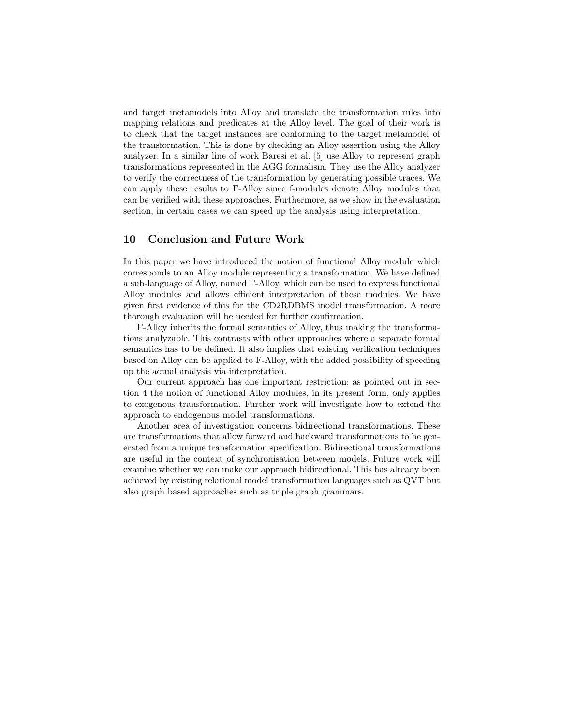and target metamodels into Alloy and translate the transformation rules into mapping relations and predicates at the Alloy level. The goal of their work is to check that the target instances are conforming to the target metamodel of the transformation. This is done by checking an Alloy assertion using the Alloy analyzer. In a similar line of work Baresi et al. [5] use Alloy to represent graph transformations represented in the AGG formalism. They use the Alloy analyzer to verify the correctness of the transformation by generating possible traces. We can apply these results to F-Alloy since f-modules denote Alloy modules that can be verified with these approaches. Furthermore, as we show in the evaluation section, in certain cases we can speed up the analysis using interpretation.

# 10 Conclusion and Future Work

In this paper we have introduced the notion of functional Alloy module which corresponds to an Alloy module representing a transformation. We have defined a sub-language of Alloy, named F-Alloy, which can be used to express functional Alloy modules and allows efficient interpretation of these modules. We have given first evidence of this for the CD2RDBMS model transformation. A more thorough evaluation will be needed for further confirmation.

F-Alloy inherits the formal semantics of Alloy, thus making the transformations analyzable. This contrasts with other approaches where a separate formal semantics has to be defined. It also implies that existing verification techniques based on Alloy can be applied to F-Alloy, with the added possibility of speeding up the actual analysis via interpretation.

Our current approach has one important restriction: as pointed out in section 4 the notion of functional Alloy modules, in its present form, only applies to exogenous transformation. Further work will investigate how to extend the approach to endogenous model transformations.

Another area of investigation concerns bidirectional transformations. These are transformations that allow forward and backward transformations to be generated from a unique transformation specification. Bidirectional transformations are useful in the context of synchronisation between models. Future work will examine whether we can make our approach bidirectional. This has already been achieved by existing relational model transformation languages such as QVT but also graph based approaches such as triple graph grammars.